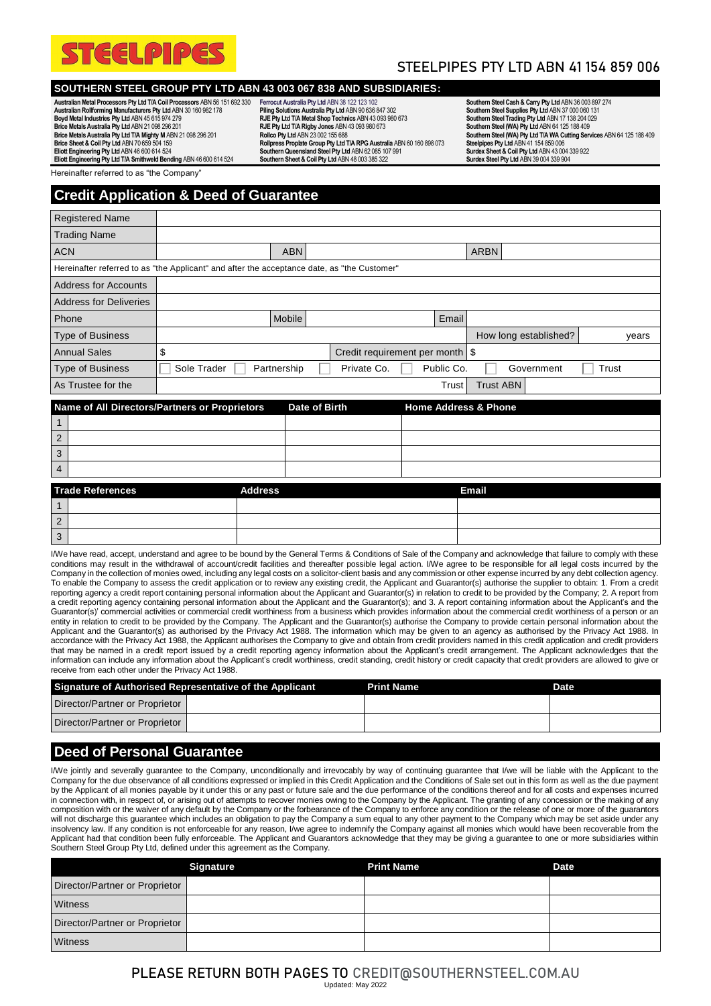

# STEELPIPES PTY LTD ABN 41 154 859 006

### **SOUTHERN STEEL GROUP PTY LTD ABN 43 003 067 838 AND SUBSIDIARIES:**

**Australian Metal Processors Pty Ltd T/A Coil Processors** ABN 56 151 692 330 **Australian Rollforming Manufacturers Pty Ltd** ABN 30 160 982 178 **Boyd Metal Industries Pty Ltd** ABN 45 615 974 279 **Brice Metals Australia Pty Ltd** ABN 21 098 296 201 **Brice Metals Australia Pty Ltd T/A Mighty M** ABN 21 098 296 201 **Brice Sheet & Coil Pty Ltd** ABN 70 659 504 159 **Eliott Engineering Pty Ltd** ABN 46 600 614 524 **Eliott Engineering Pty Ltd T/A Smithweld Bending** ABN 46 600 614 524

**Ferrocut Australia Pty Ltd** ABN 38 122 123 102 **Piling Solutions Australia Pty Ltd** ABN 90 636 847 302 **RJE Pty Ltd T/A Metal Shop Technics** ABN 43 093 980 673 **RJE Pty Ltd T/A Rigby Jones** ABN 43 093 980 673 **Rollco Pty Ltd** ABN 23 002 155 688 Rollpress Proplate Group Pty Ltd T/A RPG Australia ABN 60 160 898 073<br>Southern Queensland Steel Pty Ltd ABN 62 085 107 991 **Southern Sheet & Coil Pty Ltd** ABN 48 003 385 322

**Southern Steel Cash & Carry Pty Ltd** ABN 36 003 897 274 **Southern Steel Supplies Pty Ltd** ABN 37 000 060 131 **Southern Steel Trading Pty Ltd** ABN 17 138 204 029 **Southern Steel (WA) Pty Ltd** ABN 64 125 188 409 **Southern Steel (WA) Pty Ltd T/A WA Cutting Services** ABN 64 125 188 409 **Steelpipes Pty Ltd** ABN 41 154 859 006 **Surdex Sheet & Coil Pty Ltd** ABN 43 004 339 922 **Surdex Steel Pty Ltd** ABN 39 004 339 904

Hereinafter referred to as "the Company

# **Credit Application & Deed of Guarantee**

| <b>Registered Name</b>                                                                            |             |             |                                   |  |            |                  |                       |       |       |
|---------------------------------------------------------------------------------------------------|-------------|-------------|-----------------------------------|--|------------|------------------|-----------------------|-------|-------|
| <b>Trading Name</b>                                                                               |             |             |                                   |  |            |                  |                       |       |       |
| <b>ACN</b>                                                                                        |             | <b>ABN</b>  |                                   |  |            | <b>ARBN</b>      |                       |       |       |
| Hereinafter referred to as "the Applicant" and after the acceptance date, as "the Customer"       |             |             |                                   |  |            |                  |                       |       |       |
| <b>Address for Accounts</b>                                                                       |             |             |                                   |  |            |                  |                       |       |       |
| <b>Address for Deliveries</b>                                                                     |             |             |                                   |  |            |                  |                       |       |       |
| Phone                                                                                             |             | Mobile      |                                   |  | Email      |                  |                       |       |       |
| <b>Type of Business</b>                                                                           |             |             |                                   |  |            |                  | How long established? |       | years |
| <b>Annual Sales</b>                                                                               | \$          |             | Credit requirement per month   \$ |  |            |                  |                       |       |       |
| <b>Type of Business</b>                                                                           | Sole Trader | Partnership | Private Co.                       |  | Public Co. |                  | Government            | Trust |       |
| As Trustee for the                                                                                |             |             |                                   |  | Trust      | <b>Trust ABN</b> |                       |       |       |
| Name of All Directors/Partners or Proprietors<br><b>Home Address &amp; Phone</b><br>Date of Birth |             |             |                                   |  |            |                  |                       |       |       |

| Name of All Directors/Partners or Proprietors |  | Date of Birth | <b>Home Address &amp; Phone</b> |
|-----------------------------------------------|--|---------------|---------------------------------|
|                                               |  |               |                                 |
| 2                                             |  |               |                                 |
| 3                                             |  |               |                                 |
| $\overline{4}$                                |  |               |                                 |

|   | <b>Trade References</b> | <b>Address</b> | <b>Email</b> |
|---|-------------------------|----------------|--------------|
|   |                         |                |              |
| 2 |                         |                |              |
| 3 |                         |                |              |

I/We have read, accept, understand and agree to be bound by the General Terms & Conditions of Sale of the Company and acknowledge that failure to comply with these conditions may result in the withdrawal of account/credit facilities and thereafter possible legal action. I/We agree to be responsible for all legal costs incurred by the Company in the collection of monies owed, including any legal costs on a solicitor-client basis and any commission or other expense incurred by any debt collection agency. To enable the Company to assess the credit application or to review any existing credit, the Applicant and Guarantor(s) authorise the supplier to obtain: 1. From a credit reporting agency a credit report containing personal information about the Applicant and Guarantor(s) in relation to credit to be provided by the Company; 2. A report from a credit reporting agency containing personal information about the Applicant and the Guarantor(s); and 3. A report containing information about the Applicant's and the Guarantor(s)' commercial activities or commercial credit worthiness from a business which provides information about the commercial credit worthiness of a person or an entity in relation to credit to be provided by the Company. The Applicant and the Guarantor(s) authorise the Company to provide certain personal information about the Applicant and the Guarantor(s) as authorised by the Privacy Act 1988. The information which may be given to an agency as authorised by the Privacy Act 1988. In accordance with the Privacy Act 1988, the Applicant authorises the Company to give and obtain from credit providers named in this credit application and credit providers that may be named in a credit report issued by a credit reporting agency information about the Applicant's credit arrangement. The Applicant acknowledges that the information can include any information about the Applicant's credit worthiness, credit standing, credit history or credit capacity that credit providers are allowed to give or receive from each other under the Privacy Act 1988.

| Signature of Authorised Representative of the Applicant | <b>Print Name</b> | <b>Date</b> |
|---------------------------------------------------------|-------------------|-------------|
| Director/Partner or Proprietor                          |                   |             |
|                                                         |                   |             |
| Director/Partner or Proprietor                          |                   |             |

### **Deed of Personal Guarantee**

I/We jointly and severally guarantee to the Company, unconditionally and irrevocably by way of continuing guarantee that I/we will be liable with the Applicant to the Company for the due observance of all conditions expressed or implied in this Credit Application and the Conditions of Sale set out in this form as well as the due payment by the Applicant of all monies payable by it under this or any past or future sale and the due performance of the conditions thereof and for all costs and expenses incurred in connection with, in respect of, or arising out of attempts to recover monies owing to the Company by the Applicant. The granting of any concession or the making of any composition with or the waiver of any default by the Company or the forbearance of the Company to enforce any condition or the release of one or more of the guarantors will not discharge this guarantee which includes an obligation to pay the Company a sum equal to any other payment to the Company which may be set aside under any insolvency law. If any condition is not enforceable for any reason, I/we agree to indemnify the Company against all monies which would have been recoverable from the Applicant had that condition been fully enforceable. The Applicant and Guarantors acknowledge that they may be giving a guarantee to one or more subsidiaries within Southern Steel Group Pty Ltd, defined under this agreement as the Company

|                                | <b>Signature</b> | <b>Print Name</b> | <b>Date</b> |
|--------------------------------|------------------|-------------------|-------------|
| Director/Partner or Proprietor |                  |                   |             |
| Witness                        |                  |                   |             |
| Director/Partner or Proprietor |                  |                   |             |
| Witness                        |                  |                   |             |